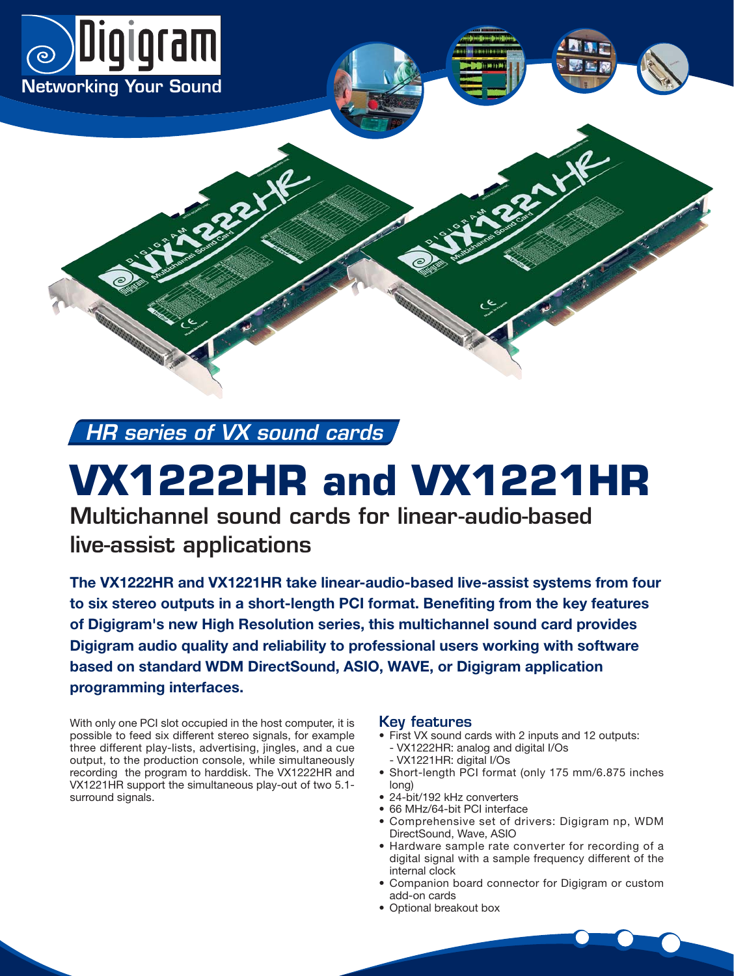

**HR series of VX sound cards**

 $x^2$ 

# **VX1222HR and VX1221HR**

**Multichannel sound cards for linear-audio-based live-assist applications**

**The VX1222HR and VX1221HR take linear-audio-based live-assist systems from four to six stereo outputs in a short-length PCI format. Benefiting from the key features of Digigram's new High Resolution series, this multichannel sound card provides Digigram audio quality and reliability to professional users working with software based on standard WDM DirectSound, ASIO, WAVE, or Digigram application programming interfaces.** 

With only one PCI slot occupied in the host computer, it is possible to feed six different stereo signals, for example three different play-lists, advertising, jingles, and a cue output, to the production console, while simultaneously recording the program to harddisk. The VX1222HR and VX1221HR support the simultaneous play-out of two 5.1 surround signals.

## **Key features**

- First VX sound cards with 2 inputs and 12 outputs: - VX1222HR: analog and digital I/Os
	- VX1221HR: digital I/Os
- Short-length PCI format (only 175 mm/6.875 inches long)
- 24-bit/192 kHz converters
- 66 MHz/64-bit PCI interface
- Comprehensive set of drivers: Digigram np, WDM DirectSound, Wave, ASIO
- Hardware sample rate converter for recording of a digital signal with a sample frequency different of the internal clock
- Companion board connector for Digigram or custom add-on cards
- Optional breakout box